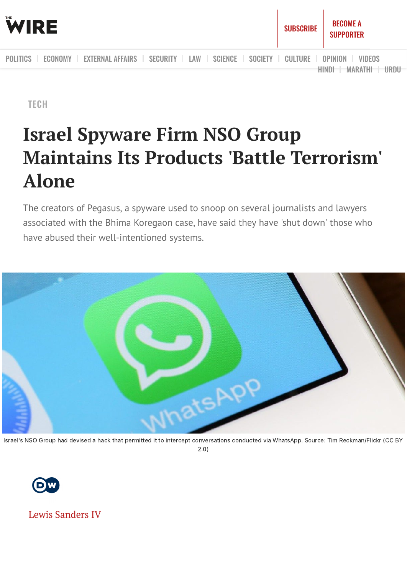

**[TECH](https://thewire.in/category/tech/all)** 

# **Israel Spyware Firm NSO Group Maintains Its Products 'Battle Terrorism' Alone**

The creators of Pegasus, a spyware used to snoop on several journalists and lawyers associated with the Bhima Koregaon case, have said they have 'shut down' those who have abused their well-intentioned systems.



Israel's NSO Group had devised a hack that permitted it to intercept conversations conducted via WhatsApp. Source: Tim Reckman/Flickr (CC BY 2.0)



Lewis [Sanders](https://thewire.in/author/lewis-sanders) IV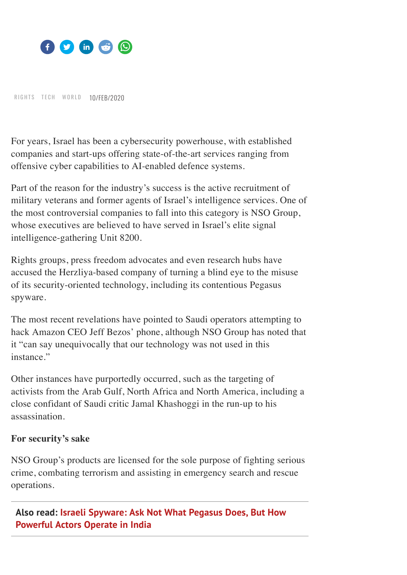

RIG[H](https://thewire.in/category/tech/all)TS TECH [W](https://thewire.in/category/world/all)ORLD 10/FEB/2020

For years, Israel has been a cybersecurity powerhouse, with established companies and start-ups offering state-of-the-art services ranging from offensive cyber capabilities to AI-enabled defence systems.

Part of the reason for the industry's success is the active recruitment of military veterans and former agents of Israel's intelligence services. One of the most controversial companies to fall into this category is NSO Group, whose executives are believed to have served in Israel's elite signal intelligence-gathering Unit 8200.

Rights groups, press freedom advocates and even research hubs have accused the Herzliya-based company of turning a blind eye to the misuse of its security-oriented technology, including its contentious Pegasus spyware.

The most recent revelations have pointed to Saudi operators attempting to hack Amazon CEO Jeff Bezos' phone, although NSO Group has noted that it "can say unequivocally that our technology was not used in this instance."

Other instances have purportedly occurred, such as the targeting of activists from the Arab Gulf, North Africa and North America, including a close confidant of Saudi critic Jamal Khashoggi in the run-up to his assassination.

#### **For security's sake**

NSO Group's products are licensed for the sole purpose of fighting serious crime, combating terrorism and assisting in emergency search and rescue operations.

**Also read: Israeli [Spyware:](https://thewire.in/government/israeli-spyware-ask-not-what-pegasus-does-but-how-powerful-actors-operate-in-india) Ask Not What Pegasus Does, But How Powerful Actors Operate in India**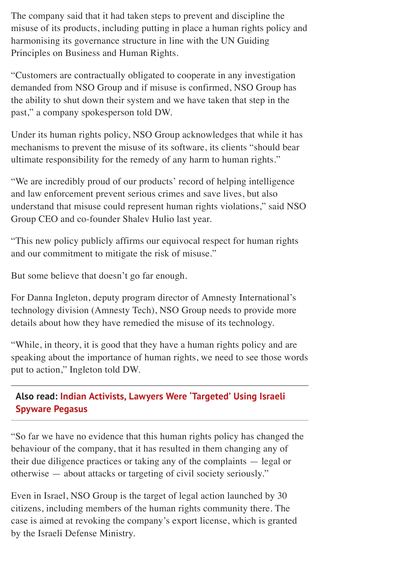The company said that it had taken steps to prevent and discipline the misuse of its products, including putting in place a human rights policy and harmonising its governance structure in line with the UN Guiding Principles on Business and Human Rights.

"Customers are contractually obligated to cooperate in any investigation demanded from NSO Group and if misuse is confirmed, NSO Group has the ability to shut down their system and we have taken that step in the past," a company spokesperson told DW.

Under its human rights policy, NSO Group acknowledges that while it has mechanisms to prevent the misuse of its software, its clients "should bear ultimate responsibility for the remedy of any harm to human rights."

"We are incredibly proud of our products' record of helping intelligence and law enforcement prevent serious crimes and save lives, but also understand that misuse could represent human rights violations," said NSO Group CEO and co-founder Shalev Hulio last year.

"This new policy publicly affirms our equivocal respect for human rights and our commitment to mitigate the risk of misuse."

But some believe that doesn't go far enough.

For Danna Ingleton, deputy program director of Amnesty International's technology division (Amnesty Tech), NSO Group needs to provide more details about how they have remedied the misuse of its technology.

"While, in theory, it is good that they have a human rights policy and are speaking about the importance of human rights, we need to see those words put to action," Ingleton told DW.

### **Also read: Indian Activists, Lawyers Were ['Targeted'](https://thewire.in/tech/pegasus-spyware-bhima-koregaon-activists-warning-whatsapp) Using Israeli Spyware Pegasus**

"So far we have no evidence that this human rights policy has changed the behaviour of the company, that it has resulted in them changing any of their due diligence practices or taking any of the complaints — legal or otherwise — about attacks or targeting of civil society seriously."

Even in Israel, NSO Group is the target of legal action launched by 30 citizens, including members of the human rights community there. The case is aimed at revoking the company's export license, which is granted by the Israeli Defense Ministry.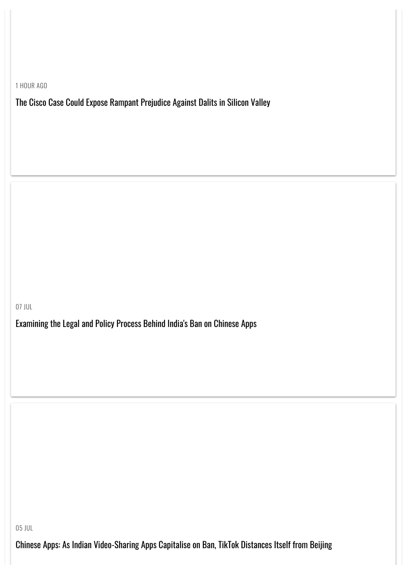1 HOUR AGO

The Cisco Case Could Expose Rampant [Prejudice](https://thewire.in/tech/cisco-caste-discrimination-silicon-valley-dalit-prejudice) Against Dalits in Silicon Valley

07 JUL

[Examining](https://thewire.in/tech/india-ban-chinese-apps-tiktok-legal) the Legal and Policy Process Behind India's Ban on Chinese Apps

05 JUL

Chinese Apps: As Indian [Video-Sharing](https://thewire.in/tech/chinese-apps-as-indian-video-sharing-apps-capitalise-on-ban-tiktok-distances-itself-from-beijing) Apps Capitalise on Ban, TikTok Distances Itself from Beijing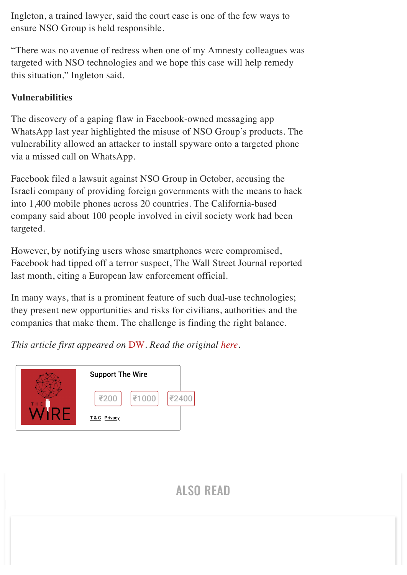Ingleton, a trained lawyer, said the court case is one of the few ways to ensure NSO Group is held responsible.

"There was no avenue of redress when one of my Amnesty colleagues was targeted with NSO technologies and we hope this case will help remedy this situation," Ingleton said.

#### **Vulnerabilities**

The discovery of a gaping flaw in Facebook-owned messaging app WhatsApp last year highlighted the misuse of NSO Group's products. The vulnerability allowed an attacker to install spyware onto a targeted phone via a missed call on WhatsApp.

Facebook filed a lawsuit against NSO Group in October, accusing the Israeli company of providing foreign governments with the means to hack into 1,400 mobile phones across 20 countries. The California-based company said about 100 people involved in civil society work had been targeted.

However, by notifying users whose smartphones were compromised, Facebook had tipped off a terror suspect, The Wall Street Journal reported last month, citing a European law enforcement official.

In many ways, that is a prominent feature of such dual-use technologies; they present new opportunities and risks for civilians, authorities and the companies that make them. The challenge is finding the right balance.

*This article first appeared on* [DW](https://www.dw.com/en/top-stories/s-9097). *Read the original [here](https://www.dw.com/en/israeli-spyware-firm-threatens-to-shut-down-abusers/a-52292492).*



## ALSO [READ](https://thewire.in/category/tech/all)